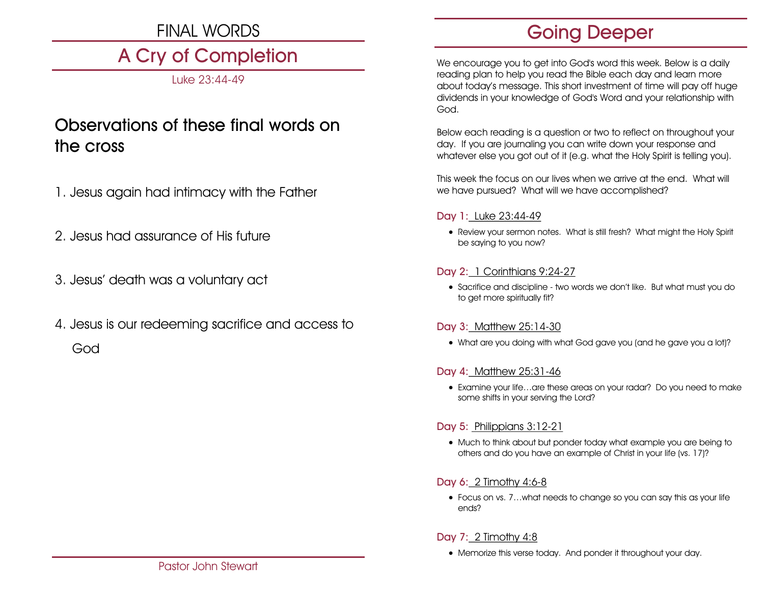# FINAL WORDS

# A Cry of Completion

Luke 23:44-49

# Observations of these final words on the cross

- 1. Jesus again had intimacy with the Father
- 2. Jesus had assurance of His future
- 3. Jesus' death was a voluntary act
- 4. Jesus is our redeeming sacrifice and access to God

# Going Deeper

We encourage you to get into God's word this week. Below is a daily reading plan to help you read the Bible each day and learn more about today's message. This short investment of time will pay off huge dividends in your knowledge of God's Word and your relationship with God.

Below each reading is a question or two to reflect on throughout your day. If you are journaling you can write down your response and whatever else you got out of it (e.g. what the Holy Spirit is telling you).

This week the focus on our lives when we arrive at the end. What will we have pursued? What will we have accomplished?

#### Day 1: Luke 23:44-49

• Review your sermon notes. What is still fresh? What might the Holy Spirit be saying to you now?

# Day 2: 1 Corinthians 9:24-27

• Sacrifice and discipline - two words we don't like. But what must you do to get more spiritually fit?

#### Day 3: Matthew 25:14-30

• What are you doing with what God gave you (and he gave you a lot)?

# Day 4: Matthew 25:31-46

• Examine your life…are these areas on your radar? Do you need to make some shifts in your serving the Lord?

# Day 5: Philippians 3:12-21

• Much to think about but ponder today what example you are being to others and do you have an example of Christ in your life (vs. 17)?

# Day 6: 2 Timothy 4:6-8

• Focus on vs. 7…what needs to change so you can say this as your life ends?

# Day 7: 2 Timothy 4:8

• Memorize this verse today. And ponder it throughout your day.